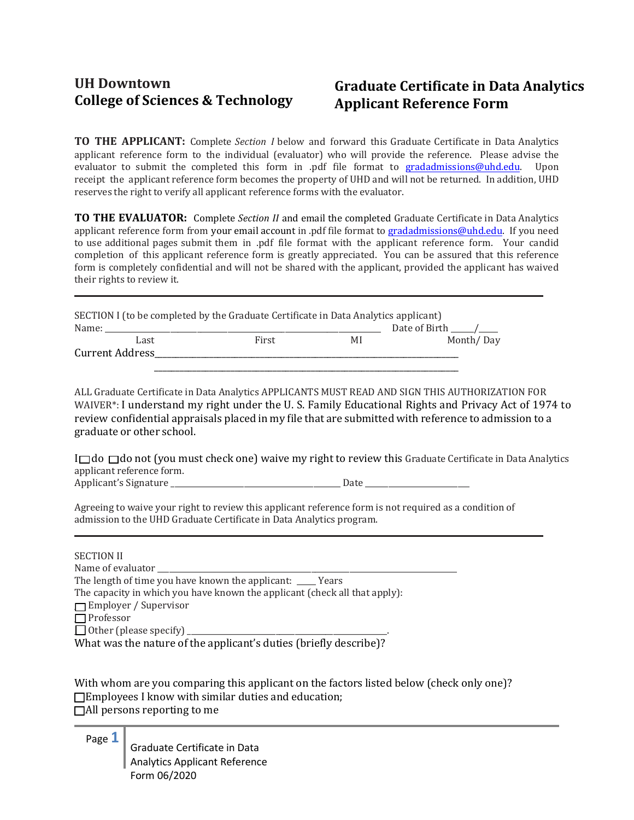## **College** of Sciences & Technology **Applicant Reference Form**

## **UH Downtown Graduate Certificate in Data Analytics**

**\_**

**\_**

**TO THE APPLICANT:** Complete *Section I* below and forward this Graduate Certificate in Data Analytics applicant reference form to the individual (evaluator) who will provide the reference. Please advise the evaluator to submit the completed this form in .p[df file format to gradadm](mailto:gradadmissions@uhd.edu)issions@uhd.edu. Upon receipt the applicant reference form becomes the property of UHD and will not be returned. In addition, UHD reserves the right to verify all applicant reference forms with the evaluator.

**TO THE EVALUATOR:** Complete *Section II* and email the completed Graduate Certificate in Data Analytics applicant reference form from your em[ail account in .pdf file forma](mailto:gradadmissions@uhd.edu)t to gradadmissions@uhd.edu. If you need to use additional pages submit them in .pdf file format with the applicant reference form. Your candid completion of this applicant reference form is greatly appreciated. You can be assured that this reference form is completely confidential and will not be shared with the applicant, provided the applicant has waived their rights to review it.

| SECTION I (to be completed by the Graduate Certificate in Data Analytics applicant) |      |       |    |               |  |  |  |  |
|-------------------------------------------------------------------------------------|------|-------|----|---------------|--|--|--|--|
| Name:                                                                               |      |       |    | Date of Birth |  |  |  |  |
|                                                                                     | Last | First | MI | Month/Day     |  |  |  |  |
| Current Address                                                                     |      |       |    |               |  |  |  |  |

\_\_\_\_\_\_\_\_\_\_\_\_\_\_\_\_\_\_\_\_\_\_\_\_\_\_\_\_\_\_\_\_\_\_\_\_\_\_\_\_\_\_\_\_\_\_\_\_\_\_\_\_\_\_\_\_\_\_\_\_\_\_\_\_\_\_\_\_\_\_\_\_

ALL Graduate Certificate in Data Analytics APPLICANTS MUST READ AND SIGN THIS AUTHORIZATION FOR WAIVER\*: I understand my right under the U. S. Family Educational Rights and Privacy Act of 1974 to review confidential appraisals placed in my file that are submitted with reference to admission to a graduate or other school.

 $I \Box$  do  $\Box$  do not (you must check one) waive my right to review this Graduate Certificate in Data Analytics applicant reference form. Applicant's Signature \_\_\_\_\_\_\_\_\_\_\_\_\_\_\_\_\_\_\_\_\_\_\_\_\_\_\_\_\_\_\_\_\_\_\_\_\_\_\_\_\_\_\_\_ Date \_\_\_\_\_\_\_\_\_\_\_\_\_\_\_\_\_\_\_\_\_\_\_\_\_\_\_

Agreeing to waive your right to review this applicant reference form is not required as a condition of admission to the UHD Graduate Certificate in Data Analytics program.

## SECTION II

Name of evaluator The length of time you have known the applicant: \_\_\_\_\_ Years The capacity in which you have known the applicant (check all that apply): **T**Employer / Supervisor  $\Box$  Professor  $\Box$  Other (please specify)  $\Box$ What was the nature of the applicant's duties (briefly describe)?

With whom are you comparing this applicant on the factors listed below (check only one)?  $\Box$  Employees I know with similar duties and education;  $\Box$  All persons reporting to me

Page **1**

Graduate Certificate in Data Analytics Applicant Reference Form 06/2020